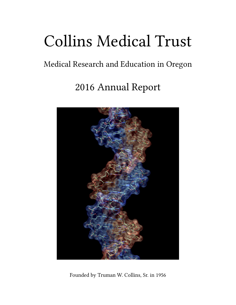# Collins Medical Trust

# Medical Research and Education in Oregon

# 2016 Annual Report



Founded by Truman W. Collins, Sr. in 1956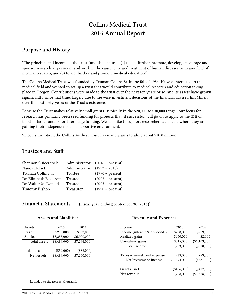# Collins Medical Trust 2016 Annual Report

### **Purpose and History**

"The principal and income of the trust fund shall be used (a) to aid, further, promote, develop, encourage and sponsor research, experiment and work in the cause, cure and treatment of human diseases or in any field of medical research, and (b) to aid, further and promote medical education."

The Collins Medical Trust was founded by Truman Collins Sr. in the fall of 1956. He was interested in the medical field and wanted to set up a trust that would contribute to medical research and education taking place in Oregon. Contributions were made to the trust over the next ten years or so, and its assets have grown significantly since that time, largely due to the wise investment decisions of the financial adviser, Jim Miller, over the first forty years of the Trust's existence.

Because the Trust makes relatively small grants—typically in the \$20,000 to \$30,000 range—our focus for research has primarily been seed funding for projects that, if successful, will go on to apply to the nih or to other large funders for later-stage funding. We also like to support researchers at a stage where they are gaining their independence in a supportive environment.

Since its inception, the Collins Medical Trust has made grants totaling about \$10.0 million.

## **Trustees and Staff**

| Shannon Osieczanek     |               | Administrator (2016 – present) |
|------------------------|---------------|--------------------------------|
| Nancy Helseth          | Administrator | $(1993 - 2016)$                |
| Truman Collins Jr.     | Trustee       | $(1990 - present)$             |
| Dr. Elizabeth Eckstrom | Trustee       | $(2003 - present)$             |
| Dr. Walter McDonald    | Trustee       | $(2005 - present)$             |
| <b>Timothy Bishop</b>  | Treasurer     | $(1990 - present)$             |

**Financial Statements (Fiscal year ending September 30, 2016)**<sup>1</sup>

| <b>Assets and Liabilities</b> |  |
|-------------------------------|--|
|-------------------------------|--|

#### **Revenue and Expenses**

| Assets:      | 2015         | 2014         | Income:                       | 2015          | 2014          |
|--------------|--------------|--------------|-------------------------------|---------------|---------------|
| Cash         | \$256,000    | \$387,000    | Income (interest & dividends) | \$228,000     | \$229,000     |
| Stocks       | \$8,285,000  | \$6,909,000  | Realized gains                | \$660,000     | \$2,000       |
| Total assets | \$8,489,000  | \$7,296,000  | Unrealized gains              | \$815,000     | (\$1,109,000) |
|              |              |              | Total income                  | \$1,703,000   | $(\$878,000)$ |
| Liabilities  | $(\$52,000)$ | $(\$36,000)$ |                               |               |               |
| Net Assets   | \$8,489,000  | \$7,260,000  | Taxes & investment expense    | $(\$9,000)$   | $(\$3,000)$   |
|              |              |              | Net Investment Income         | \$1,694,000   | $(\$881,000)$ |
|              |              |              |                               |               |               |
|              |              |              | Grants - net                  | $(\$466,000)$ | $(\$477,000)$ |
|              |              |              | Net revenue                   | \$1,228,000   | (\$1,358,000) |
|              |              |              |                               |               |               |

<sup>1</sup>Rounded to the nearest thousand.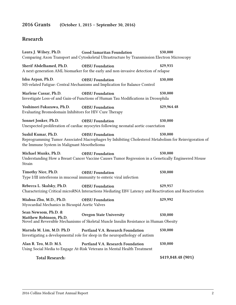# **2016 Grants (October 1, 2015 – September 30, 2016)**

# **Research**

| Laura J. Wilsey, Ph.D.                                                              | Good Samaritan Foundation<br>Comparing Axon Transport and Cytoskeletal Ultrastructure by Transmission Electron Microscopy       | \$30,000           |
|-------------------------------------------------------------------------------------|---------------------------------------------------------------------------------------------------------------------------------|--------------------|
| Sherif Abdelhamed, Ph.D.                                                            | <b>OHSU</b> Foundation<br>A next-generation AML biomarker for the early and non-invasive detection of relapse                   | \$29,935           |
| Ishu Arpan, Ph.D.                                                                   | <b>OHSU</b> Foundation<br>MS-related Fatigue: Central Mechanisms and Implication for Balance Control                            | \$30,000           |
| Marlene Cassar, Ph.D.                                                               | <b>OHSU</b> Foundation<br>Investigate Loss-of and Gain-of Functions of Human Tau Modifications in Drosophila                    | \$30,000           |
| Yoshinori Fukazawa, Ph.D.<br>Evaluating Bromodomain Inhibitors for HIV Cure Therapy | <b>OHSU</b> Foundation                                                                                                          | \$29,964.48        |
| Sonnet Jonker, Ph.D.                                                                | <b>OHSU</b> Foundation<br>Unexpected proliferation of cardiac myocytes following neonatal aortic coarctation                    | \$30,000           |
| Sushil Kumar, Ph.D.<br>the Immune System in Malignant Mesothelioma                  | <b>OHSU</b> Foundation<br>Reprogramming Tumor Associated Macrophages by Inhibiting Cholesterol Metabolism for Reinvigoration of | \$30,000           |
| Michael Munks, Ph.D.<br>Strain                                                      | <b>OHSU Foundation</b><br>Understanding How a Breast Cancer Vaccine Causes Tumor Regression in a Genetically Engineered Mouse   | \$30,000           |
| Timothy Nice, Ph.D.                                                                 | <b>OHSU</b> Foundation<br>Type I/III interferons in mucosal immunity to enteric viral infection                                 | \$30,000           |
| Rebecca L. Skalsky, Ph.D.                                                           | <b>OHSU</b> Foundation<br>Characterizing Critical microRNA Interactions Mediating EBV Latency and Reactivation and Reactivation | \$29,957           |
| Miahua Zhu, M.D., Ph.D.<br>Myocardial Mechanics in Bicuspid Aortic Valves           | <b>OHSU Foundation</b>                                                                                                          | \$29,992           |
| Sean Newsom, Ph.D. &<br>Matthew Robinson, Ph.D.                                     | <b>Oregon State University</b><br>Novel and Reversible Mechanisms of Skeletal Muscle Insulin Resistance in Human Obesity        | \$30,000           |
| Marnda M. Lim, M.D. Ph.D                                                            | Portland V.A. Research Foundation<br>Investigating a developmental role for sleep in the neuropathology of autism               | \$30,000           |
| Alan R. Teo, M.D. M.S.                                                              | Portland V.A. Research Foundation<br>Using Social Media to Engage At-Risk Veterans in Mental Health Treatment                   | \$30,000           |
| <b>Total Research:</b>                                                              |                                                                                                                                 | \$419,848.48 (90%) |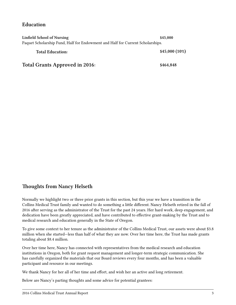# **Education**

| Linfield School of Nursing                                                     | \$45,000        |  |  |
|--------------------------------------------------------------------------------|-----------------|--|--|
| Paquet Scholarship Fund, Half for Endowment and Half for Current Scholarships. |                 |  |  |
| <b>Total Education:</b>                                                        | $$45,000(10\%)$ |  |  |
| <b>Total Grants Approved in 2016:</b>                                          | \$464,848       |  |  |

# **Thoughts from Nancy Helseth**

Normally we highlight two or three prior grants in this section, but this year we have a transition in the Collins Medical Trust family and wanted to do something a little different. Nancy Helseth retired in the fall of 2016 after serving as the administrator of the Trust for the past 24 years. Her hard work, deep engagement, and dedication have been greatly appreciated, and have contributed to effective grant-making by the Trust and to medical research and education generally in the State of Oregon.

To give some context to her tenure as the administrator of the Collins Medical Trust, our assets were about \$3.8 million when she started—less than half of what they are now. Over her time here, the Trust has made grants totaling about \$8.4 million.

Over her time here, Nancy has connected with representatives from the medical research and education institutions in Oregon, both for grant request management and longer-term strategic communication. She has carefully organized the materials that our Board reviews every four months, and has been a valuable participant and resource in our meetings.

We thank Nancy for her all of her time and effort, and wish her an active and long retirement.

Below are Nancy's parting thoughts and some advice for potential grantees: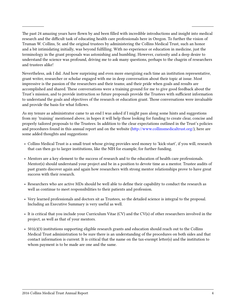The past 24 amazing years have flown by and been filled with incredible introductions and insight into medical research and the difficult task of educating health care professionals here in Oregon. To further the vision of Truman W. Collins, Sr. and the original trustees by administering the Collins Medical Trust, such an honor and a bit intimidating initially, was beyond fulfilling. With no experience or education in medicine, just the terminology in the grant proposals was astonishing and humbling. However, curiosity and a deep desire to understand the science was profound, driving me to ask many questions, perhaps to the chagrin of researchers and trustees alike!

Nevertheless, ask I did. And how surprising and even more energizing each time an institution representative, grant writer, researcher or scholar engaged with me in deep conversation about their topic at issue. Most impressive is the passion of the researchers and their teams; and their pride when goals and results are accomplished and shared. These conversations were a training ground for me to give good feedback about the Trust's mission, and to provide instruction so future proposals provide the Trustees with sufficient information to understand the goals and objectives of the research or education grant. Those conversations were invaluable and provide the basis for what follows.

As my tenure as administrator came to an end I was asked if I might pass along some hints and suggestions from my 'training' mentioned above, in hopes it will help those looking for funding to create clear, concise and properly tailored proposals to the Trustees. In addition to the clear expectations outlined in the Trust's policies and procedures found in this annual report and on the website([http://www.collinsmedicaltrust.org/\)](http://www.collinsmedicaltrust.org/), here are some added thoughts and suggestions:

- Collins Medical Trust is a small trust whose giving provides seed money to 'kick-start', if you will, research that can then go to larger institutions, like the NIH for example, for further funding.
- Mentors are a key element to the success of research and to the education of health care professionals. Mentor(s) should understand your project and be in a position to devote time as a mentor. Trustee audits of past grants discover again and again how researchers with strong mentor relationships prove to have great success with their research.
- Researchers who are active MDs should be well able to define their capability to conduct the research as well as continue to meet responsibilities to their patients and profession.
- Very learned professionals and doctors sit as Trustees, so the detailed science is integral to the proposal. Including an Executive Summary is very useful as well.
- It is critical that you include your Curriculum Vitae (CV) and the CV(s) of other researchers involved in the project, as well as that of your mentors.
- 501(c)(3) institutions supporting eligible research grants and education should reach out to the Collins Medical Trust administration to be sure there is an understanding of the procedures on both sides and that contact information is current. It is critical that the name on the tax-exempt letter(s) and the institution to whom payment is to be made are one and the same.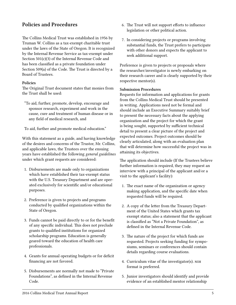## **Policies and Procedures**

The Collins Medical Trust was established in 1956 by Truman W. Collins as a tax-exempt charitable trust under the laws of the State of Oregon. It is recognized by the Internal Revenue Service as tax-exempt under Section 501(c)(3) of the Internal Revenue Code and has been classified as a private foundation under Section 509(a) of the Code. The Trust is directed by a Board of Trustees.

#### **Policies**

The Original Trust document states that monies from the Trust shall be used:

"To aid, further, promote, develop, encourage and sponsor research, experiment and work in the cause, cure and treatment of human disease or in any field of medical research, and

To aid, further and promote medical education."

With this statement as a guide, and having knowledge of the desires and concerns of the Trustor, Mr. Collins, and applicable laws, the Trustees over the ensuing years have established the following *general guidelines* under which grant requests are considered:

- 1. Disbursements are made only to organizations which have established their tax-exempt status with the U.S. Treasury Department and are operated exclusively for scientific and/or educational purposes.
- 2. Preference is given to projects and programs conducted by qualified organizations within the State of Oregon.
- 3. Funds cannot be paid directly to or for the benefit of any specific individual. This does not preclude grants to qualified institutions for organized scholarship programs. Education is generally geared toward the education of health care professionals.
- 4. Grants for annual operating budgets or for deficit financing are not favored.
- 5. Disbursements are normally not made to "Private Foundations", as defined in the Internal Revenue Code.
- 6. The Trust will not support efforts to influence legislation or other political action.
- 7. In considering projects or programs involving substantial funds, the Trust prefers to participate with other donors and expects the applicant to seek additional support.

Preference is given to projects or proposals where the researcher/investigator is newly embarking on their research career and is clearly supported by their respective mentor(s).

#### **Submission Procedures**

Requests for information and applications for grants from the Collins Medical Trust should be presented in writing. Applications need not be formal and should include an Executive Summary suitably brief to present the necessary facts about the applying organization and the project for which the grant is being sought, supported by sufficient technical detail to present a clear picture of the project and expected outcomes. Project outcomes should be clearly articulated, along with an evaluation plan that will determine how successful the project was in attaining its objectives.

The application should include (If the Trustees believe further information is required, they may request an interview with a principal of the applicant and/or a visit to the applicant's facility):

- 1. The exact name of the organization or agency making application, and the specific date when requested funds will be required.
- 2. A copy of the letter from the Treasury Department of the United States which grants tax exempt status; also a statement that the applicant is classified as "Not a Private Foundation", as defined in the Internal Revenue Code.
- 3. The nature of the project for which funds are requested. Projects seeking funding for symposiums, seminars or conferences should contain details regarding course evaluations.
- 4. Curriculum vitae of the investigator(s). nih format is preferred.
- 5. Junior investigators should identify and provide evidence of an established mentor relationship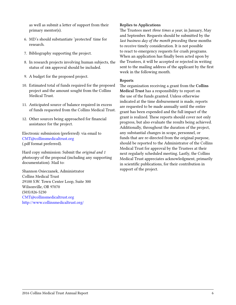as well as submit a letter of support from their primary mentor(s).

- 6. MD's should substantiate 'protected' time for research.
- 7. Bibliography supporting the project.
- 8. In research projects involving human subjects, the status of IRB approval should be included.
- 9. A budget for the proposed project.
- 10. Estimated total of funds required for the proposed project and the amount sought from the Collins Medical Trust.
- 11. Anticipated source of balance required in excess of funds requested from the Collins Medical Trust.
- 12. Other sources being approached for financial assistance for the project.

Electronic submission (preferred): via email to [CMT@collinsmedicaltrust.org](mailto:CMT@collinsmedicaltrust.org) (.pdf format preferred).

Hard copy submission: Submit the *original and 1 photocopy* of the proposal (including any supporting documentation). Mail to:

Shannon Osieczanek, Administrator Collins Medical Trust 29100 S.W. Town Center Loop, Suite 300 Wilsonville, OR 97070 (503) 826-5230 [CMT@collinsmedicaltrust.org](mailto:CMT@collinsmedicaltrust.org) <http://www.collinsmedicaltrust.org/>

#### **Replies to Applications**

The Trustees meet *three times a year*, in January, May and September. Requests should be submitted by the *last business day of the month preceding* these months to receive timely consideration. It is not possible to react to emergency requests for crash programs. When an application has finally been acted upon by the Trustees, it will be accepted or rejected in writing sent to the mailing address of the applicant by the first week in the following month.

#### **Reports**

The organization receiving a grant from the **Collins Medical Trust** has a responsibility to report on the use of the funds granted. Unless otherwise indicated at the time disbursement is made, reports are requested to be made annually until the entire grant has been expended and the full impact of the grant is realized. These reports should cover not only progress, but also evaluate the results being achieved. Additionally, throughout the duration of the project, any substantial changes in scope, personnel, or funds that are re-directed from the original purpose, should be reported to the Administrator of the Collins Medical Trust for approval by the Trustees at their next regularly scheduled meeting. Lastly, the Collins Medical Trust appreciates acknowledgment, primarily in scientific publications, for their contribution in support of the project.